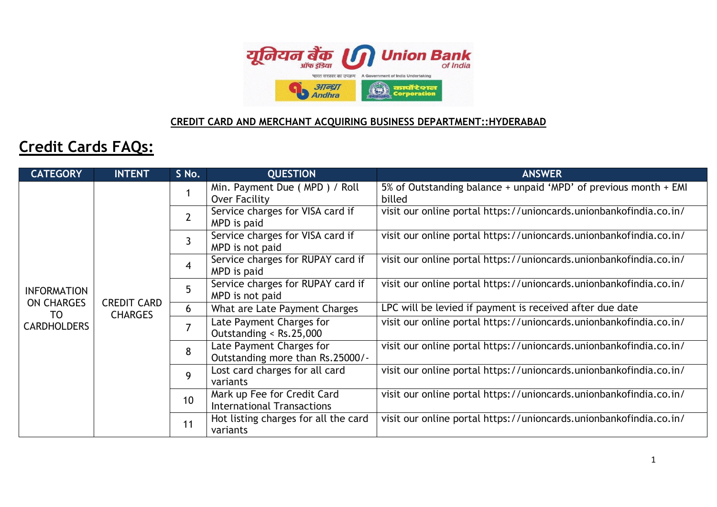

## **CREDIT CARD AND MERCHANT ACQUIRING BUSINESS DEPARTMENT::HYDERABAD**

## **Credit Cards FAQs:**

| <b>CATEGORY</b>         | <b>INTENT</b>                        | S No.          | <b>QUESTION</b>                                                  | <b>ANSWER</b>                                                              |
|-------------------------|--------------------------------------|----------------|------------------------------------------------------------------|----------------------------------------------------------------------------|
|                         |                                      | 1              | Min. Payment Due (MPD) / Roll<br>Over Facility                   | 5% of Outstanding balance + unpaid 'MPD' of previous month + EMI<br>billed |
|                         |                                      | $\overline{2}$ | Service charges for VISA card if<br>MPD is paid                  | visit our online portal https://unioncards.unionbankofindia.co.in/         |
|                         |                                      | 3              | Service charges for VISA card if<br>MPD is not paid              | visit our online portal https://unioncards.unionbankofindia.co.in/         |
| <b>INFORMATION</b>      |                                      | $\overline{4}$ | Service charges for RUPAY card if<br>MPD is paid                 | visit our online portal https://unioncards.unionbankofindia.co.in/         |
|                         |                                      | 5              | Service charges for RUPAY card if<br>MPD is not paid             | visit our online portal https://unioncards.unionbankofindia.co.in/         |
| <b>ON CHARGES</b><br>TO | <b>CREDIT CARD</b><br><b>CHARGES</b> | 6              | What are Late Payment Charges                                    | LPC will be levied if payment is received after due date                   |
| <b>CARDHOLDERS</b>      |                                      | $\overline{7}$ | Late Payment Charges for<br>Outstanding < Rs.25,000              | visit our online portal https://unioncards.unionbankofindia.co.in/         |
|                         |                                      | 8              | Late Payment Charges for<br>Outstanding more than Rs.25000/-     | visit our online portal https://unioncards.unionbankofindia.co.in/         |
|                         |                                      | 9              | Lost card charges for all card<br>variants                       | visit our online portal https://unioncards.unionbankofindia.co.in/         |
|                         |                                      | 10             | Mark up Fee for Credit Card<br><b>International Transactions</b> | visit our online portal https://unioncards.unionbankofindia.co.in/         |
|                         |                                      | 11             | Hot listing charges for all the card<br>variants                 | visit our online portal https://unioncards.unionbankofindia.co.in/         |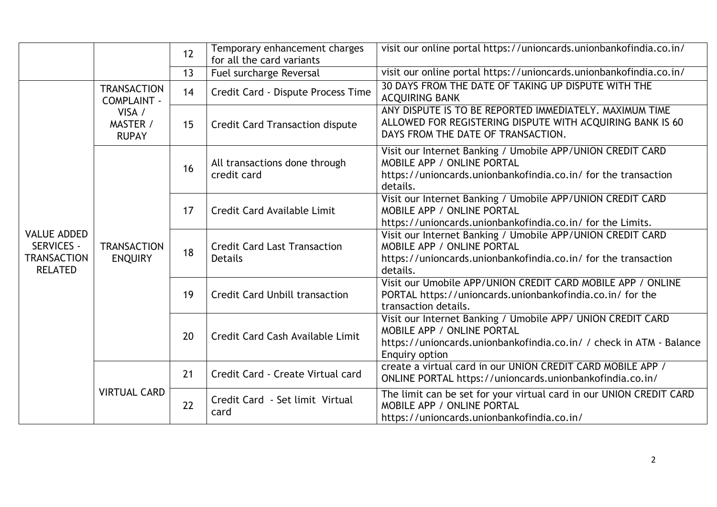|                                                                                 |                                          | 12 | Temporary enhancement charges<br>for all the card variants | visit our online portal https://unioncards.unionbankofindia.co.in/                                                                                                                 |
|---------------------------------------------------------------------------------|------------------------------------------|----|------------------------------------------------------------|------------------------------------------------------------------------------------------------------------------------------------------------------------------------------------|
|                                                                                 |                                          | 13 | Fuel surcharge Reversal                                    | visit our online portal https://unioncards.unionbankofindia.co.in/                                                                                                                 |
|                                                                                 | <b>TRANSACTION</b><br><b>COMPLAINT -</b> | 14 | Credit Card - Dispute Process Time                         | 30 DAYS FROM THE DATE OF TAKING UP DISPUTE WITH THE<br><b>ACQUIRING BANK</b>                                                                                                       |
|                                                                                 | VISA /<br>MASTER /<br><b>RUPAY</b>       | 15 | <b>Credit Card Transaction dispute</b>                     | ANY DISPUTE IS TO BE REPORTED IMMEDIATELY. MAXIMUM TIME<br>ALLOWED FOR REGISTERING DISPUTE WITH ACQUIRING BANK IS 60<br>DAYS FROM THE DATE OF TRANSACTION.                         |
|                                                                                 | <b>TRANSACTION</b><br><b>ENQUIRY</b>     | 16 | All transactions done through<br>credit card               | Visit our Internet Banking / Umobile APP/UNION CREDIT CARD<br>MOBILE APP / ONLINE PORTAL<br>https://unioncards.unionbankofindia.co.in/ for the transaction<br>details.             |
|                                                                                 |                                          | 17 | Credit Card Available Limit                                | Visit our Internet Banking / Umobile APP/UNION CREDIT CARD<br><b>MOBILE APP / ONLINE PORTAL</b><br>https://unioncards.unionbankofindia.co.in/ for the Limits.                      |
| <b>VALUE ADDED</b><br><b>SERVICES -</b><br><b>TRANSACTION</b><br><b>RELATED</b> |                                          | 18 | <b>Credit Card Last Transaction</b><br><b>Details</b>      | Visit our Internet Banking / Umobile APP/UNION CREDIT CARD<br><b>MOBILE APP / ONLINE PORTAL</b><br>https://unioncards.unionbankofindia.co.in/ for the transaction<br>details.      |
|                                                                                 |                                          | 19 | <b>Credit Card Unbill transaction</b>                      | Visit our Umobile APP/UNION CREDIT CARD MOBILE APP / ONLINE<br>PORTAL https://unioncards.unionbankofindia.co.in/ for the<br>transaction details.                                   |
|                                                                                 |                                          | 20 | Credit Card Cash Available Limit                           | Visit our Internet Banking / Umobile APP/ UNION CREDIT CARD<br>MOBILE APP / ONLINE PORTAL<br>https://unioncards.unionbankofindia.co.in/ / check in ATM - Balance<br>Enquiry option |
|                                                                                 | <b>VIRTUAL CARD</b>                      | 21 | Credit Card - Create Virtual card                          | create a virtual card in our UNION CREDIT CARD MOBILE APP /<br>ONLINE PORTAL https://unioncards.unionbankofindia.co.in/                                                            |
|                                                                                 |                                          | 22 | Credit Card - Set limit Virtual<br>card                    | The limit can be set for your virtual card in our UNION CREDIT CARD<br>MOBILE APP / ONLINE PORTAL<br>https://unioncards.unionbankofindia.co.in/                                    |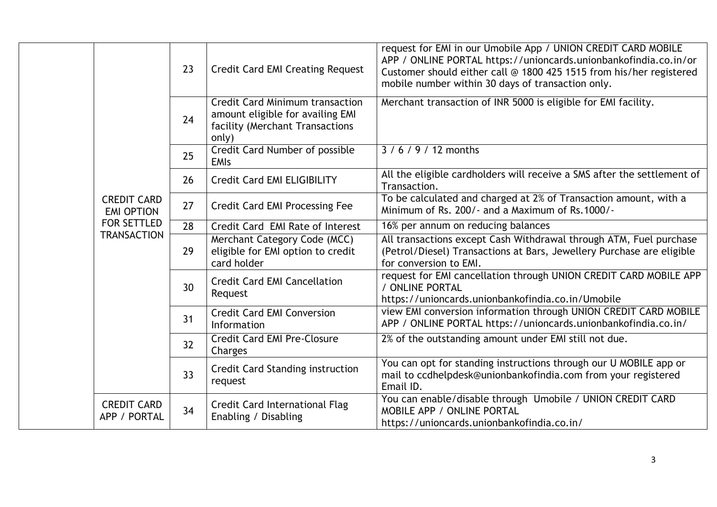|  |                                                          | 23 | <b>Credit Card EMI Creating Request</b>                                                                                | request for EMI in our Umobile App / UNION CREDIT CARD MOBILE<br>APP / ONLINE PORTAL https://unioncards.unionbankofindia.co.in/or<br>Customer should either call @ 1800 425 1515 from his/her registered<br>mobile number within 30 days of transaction only. |
|--|----------------------------------------------------------|----|------------------------------------------------------------------------------------------------------------------------|---------------------------------------------------------------------------------------------------------------------------------------------------------------------------------------------------------------------------------------------------------------|
|  |                                                          | 24 | <b>Credit Card Minimum transaction</b><br>amount eligible for availing EMI<br>facility (Merchant Transactions<br>only) | Merchant transaction of INR 5000 is eligible for EMI facility.                                                                                                                                                                                                |
|  |                                                          | 25 | Credit Card Number of possible<br><b>EMIs</b>                                                                          | $3/6/9/12$ months                                                                                                                                                                                                                                             |
|  |                                                          | 26 | Credit Card EMI ELIGIBILITY                                                                                            | All the eligible cardholders will receive a SMS after the settlement of<br>Transaction.                                                                                                                                                                       |
|  | <b>CREDIT CARD</b><br><b>EMI OPTION</b>                  | 27 | <b>Credit Card EMI Processing Fee</b>                                                                                  | To be calculated and charged at 2% of Transaction amount, with a<br>Minimum of Rs. 200/- and a Maximum of Rs. 1000/-                                                                                                                                          |
|  | <b>FOR SETTLED</b>                                       | 28 | Credit Card EMI Rate of Interest                                                                                       | 16% per annum on reducing balances                                                                                                                                                                                                                            |
|  | <b>TRANSACTION</b><br><b>CREDIT CARD</b><br>APP / PORTAL | 29 | Merchant Category Code (MCC)<br>eligible for EMI option to credit<br>card holder                                       | All transactions except Cash Withdrawal through ATM, Fuel purchase<br>(Petrol/Diesel) Transactions at Bars, Jewellery Purchase are eligible<br>for conversion to EMI.                                                                                         |
|  |                                                          | 30 | <b>Credit Card EMI Cancellation</b><br>Request                                                                         | request for EMI cancellation through UNION CREDIT CARD MOBILE APP<br>/ ONLINE PORTAL<br>https://unioncards.unionbankofindia.co.in/Umobile                                                                                                                     |
|  |                                                          | 31 | <b>Credit Card EMI Conversion</b><br>Information                                                                       | view EMI conversion information through UNION CREDIT CARD MOBILE<br>APP / ONLINE PORTAL https://unioncards.unionbankofindia.co.in/                                                                                                                            |
|  |                                                          | 32 | <b>Credit Card EMI Pre-Closure</b><br>Charges                                                                          | 2% of the outstanding amount under EMI still not due.                                                                                                                                                                                                         |
|  |                                                          | 33 | <b>Credit Card Standing instruction</b><br>request                                                                     | You can opt for standing instructions through our U MOBILE app or<br>mail to ccdhelpdesk@unionbankofindia.com from your registered<br>Email ID.                                                                                                               |
|  |                                                          | 34 | <b>Credit Card International Flag</b><br>Enabling / Disabling                                                          | You can enable/disable through Umobile / UNION CREDIT CARD<br>MOBILE APP / ONLINE PORTAL<br>https://unioncards.unionbankofindia.co.in/                                                                                                                        |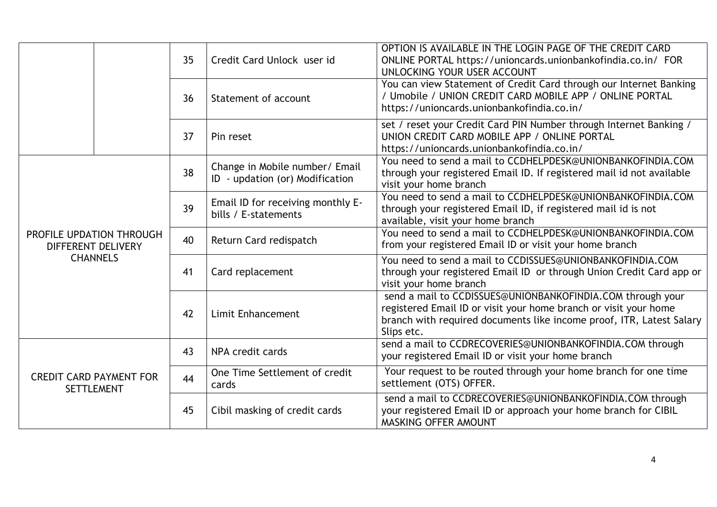|                                                     |                                                | 35 | Credit Card Unlock user id                                        | OPTION IS AVAILABLE IN THE LOGIN PAGE OF THE CREDIT CARD<br>ONLINE PORTAL https://unioncards.unionbankofindia.co.in/ FOR<br>UNLOCKING YOUR USER ACCOUNT                                                              |
|-----------------------------------------------------|------------------------------------------------|----|-------------------------------------------------------------------|----------------------------------------------------------------------------------------------------------------------------------------------------------------------------------------------------------------------|
|                                                     |                                                | 36 | Statement of account                                              | You can view Statement of Credit Card through our Internet Banking<br>/ Umobile / UNION CREDIT CARD MOBILE APP / ONLINE PORTAL<br>https://unioncards.unionbankofindia.co.in/                                         |
|                                                     |                                                | 37 | Pin reset                                                         | set / reset your Credit Card PIN Number through Internet Banking /<br>UNION CREDIT CARD MOBILE APP / ONLINE PORTAL<br>https://unioncards.unionbankofindia.co.in/                                                     |
|                                                     |                                                | 38 | Change in Mobile number/ Email<br>ID - updation (or) Modification | You need to send a mail to CCDHELPDESK@UNIONBANKOFINDIA.COM<br>through your registered Email ID. If registered mail id not available<br>visit your home branch                                                       |
|                                                     |                                                |    | Email ID for receiving monthly E-<br>bills / E-statements         | You need to send a mail to CCDHELPDESK@UNIONBANKOFINDIA.COM<br>through your registered Email ID, if registered mail id is not<br>available, visit your home branch                                                   |
|                                                     | PROFILE UPDATION THROUGH<br>DIFFERENT DELIVERY | 40 | Return Card redispatch                                            | You need to send a mail to CCDHELPDESK@UNIONBANKOFINDIA.COM<br>from your registered Email ID or visit your home branch                                                                                               |
|                                                     | <b>CHANNELS</b>                                | 41 | Card replacement                                                  | You need to send a mail to CCDISSUES@UNIONBANKOFINDIA.COM<br>through your registered Email ID or through Union Credit Card app or<br>visit your home branch                                                          |
|                                                     |                                                | 42 | <b>Limit Enhancement</b>                                          | send a mail to CCDISSUES@UNIONBANKOFINDIA.COM through your<br>registered Email ID or visit your home branch or visit your home<br>branch with required documents like income proof, ITR, Latest Salary<br>Slips etc. |
| <b>CREDIT CARD PAYMENT FOR</b><br><b>SETTLEMENT</b> |                                                | 43 | NPA credit cards                                                  | send a mail to CCDRECOVERIES@UNIONBANKOFINDIA.COM through<br>your registered Email ID or visit your home branch                                                                                                      |
|                                                     |                                                | 44 | One Time Settlement of credit<br>cards                            | Your request to be routed through your home branch for one time<br>settlement (OTS) OFFER.                                                                                                                           |
|                                                     |                                                | 45 | Cibil masking of credit cards                                     | send a mail to CCDRECOVERIES@UNIONBANKOFINDIA.COM through<br>your registered Email ID or approach your home branch for CIBIL<br>MASKING OFFER AMOUNT                                                                 |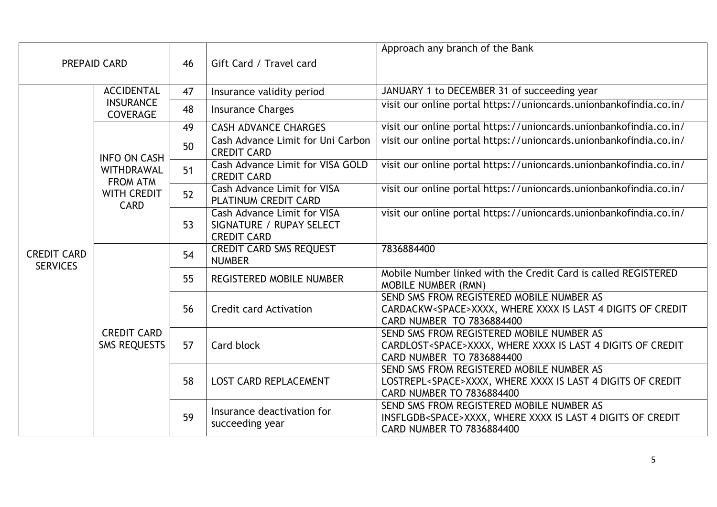| <b>PREPAID CARD</b>                   |                                           | 46 | Gift Card / Travel card                                                              | Approach any branch of the Bank                                                                                                                |
|---------------------------------------|-------------------------------------------|----|--------------------------------------------------------------------------------------|------------------------------------------------------------------------------------------------------------------------------------------------|
|                                       | <b>ACCIDENTAL</b>                         | 47 | Insurance validity period                                                            | JANUARY 1 to DECEMBER 31 of succeeding year                                                                                                    |
|                                       | <b>INSURANCE</b><br><b>COVERAGE</b>       | 48 | <b>Insurance Charges</b>                                                             | visit our online portal https://unioncards.unionbankofindia.co.in/                                                                             |
|                                       |                                           | 49 | <b>CASH ADVANCE CHARGES</b>                                                          | visit our online portal https://unioncards.unionbankofindia.co.in/                                                                             |
|                                       | <b>INFO ON CASH</b>                       | 50 | Cash Advance Limit for Uni Carbon<br><b>CREDIT CARD</b>                              | visit our online portal https://unioncards.unionbankofindia.co.in/                                                                             |
|                                       | WITHDRAWAL<br><b>FROM ATM</b>             | 51 | Cash Advance Limit for VISA GOLD<br><b>CREDIT CARD</b>                               | visit our online portal https://unioncards.unionbankofindia.co.in/                                                                             |
|                                       | <b>WITH CREDIT</b><br><b>CARD</b>         | 52 | <b>Cash Advance Limit for VISA</b><br>PLATINUM CREDIT CARD                           | visit our online portal https://unioncards.unionbankofindia.co.in/                                                                             |
|                                       |                                           | 53 | <b>Cash Advance Limit for VISA</b><br>SIGNATURE / RUPAY SELECT<br><b>CREDIT CARD</b> | visit our online portal https://unioncards.unionbankofindia.co.in/                                                                             |
| <b>CREDIT CARD</b><br><b>SERVICES</b> | <b>CREDIT CARD</b><br><b>SMS REQUESTS</b> | 54 | <b>CREDIT CARD SMS REQUEST</b><br><b>NUMBER</b>                                      | 7836884400                                                                                                                                     |
|                                       |                                           | 55 | <b>REGISTERED MOBILE NUMBER</b>                                                      | Mobile Number linked with the Credit Card is called REGISTERED<br><b>MOBILE NUMBER (RMN)</b>                                                   |
|                                       |                                           | 56 | <b>Credit card Activation</b>                                                        | SEND SMS FROM REGISTERED MOBILE NUMBER AS<br>CARDACKW <space>XXXX, WHERE XXXX IS LAST 4 DIGITS OF CREDIT<br/>CARD NUMBER TO 7836884400</space> |
|                                       |                                           | 57 | Card block                                                                           | SEND SMS FROM REGISTERED MOBILE NUMBER AS<br>CARDLOST <space>XXXX, WHERE XXXX IS LAST 4 DIGITS OF CREDIT<br/>CARD NUMBER TO 7836884400</space> |
|                                       |                                           | 58 | <b>LOST CARD REPLACEMENT</b>                                                         | SEND SMS FROM REGISTERED MOBILE NUMBER AS<br>LOSTREPL <space>XXXX, WHERE XXXX IS LAST 4 DIGITS OF CREDIT<br/>CARD NUMBER TO 7836884400</space> |
|                                       |                                           | 59 | Insurance deactivation for<br>succeeding year                                        | SEND SMS FROM REGISTERED MOBILE NUMBER AS<br>INSFLGDB <space>XXXX, WHERE XXXX IS LAST 4 DIGITS OF CREDIT<br/>CARD NUMBER TO 7836884400</space> |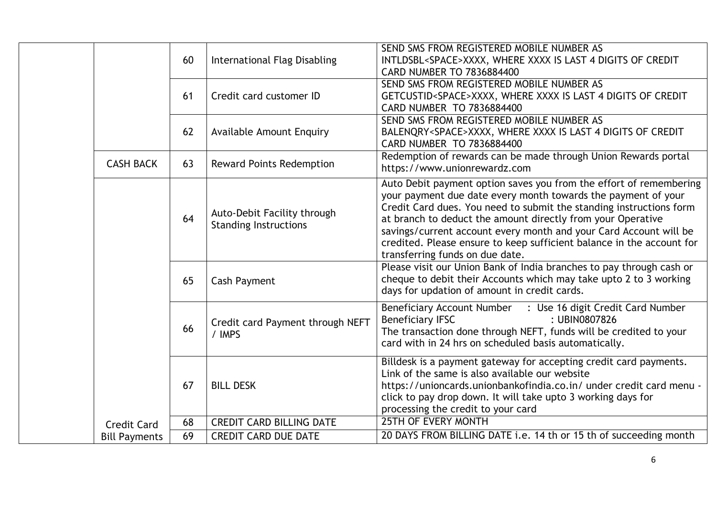|                      | 60 | <b>International Flag Disabling</b>                         | SEND SMS FROM REGISTERED MOBILE NUMBER AS<br>INTLDSBL <space>XXXX, WHERE XXXX IS LAST 4 DIGITS OF CREDIT<br/><b>CARD NUMBER TO 7836884400</b></space>                                                                                                                                                                                                                                                                                                      |
|----------------------|----|-------------------------------------------------------------|------------------------------------------------------------------------------------------------------------------------------------------------------------------------------------------------------------------------------------------------------------------------------------------------------------------------------------------------------------------------------------------------------------------------------------------------------------|
|                      | 61 | Credit card customer ID                                     | SEND SMS FROM REGISTERED MOBILE NUMBER AS<br>GETCUSTID <space>XXXX, WHERE XXXX IS LAST 4 DIGITS OF CREDIT<br/>CARD NUMBER TO 7836884400</space>                                                                                                                                                                                                                                                                                                            |
|                      | 62 | <b>Available Amount Enquiry</b>                             | SEND SMS FROM REGISTERED MOBILE NUMBER AS<br>BALENQRY <space>XXXX, WHERE XXXX IS LAST 4 DIGITS OF CREDIT<br/>CARD NUMBER TO 7836884400</space>                                                                                                                                                                                                                                                                                                             |
| <b>CASH BACK</b>     | 63 | <b>Reward Points Redemption</b>                             | Redemption of rewards can be made through Union Rewards portal<br>https://www.unionrewardz.com                                                                                                                                                                                                                                                                                                                                                             |
|                      | 64 | Auto-Debit Facility through<br><b>Standing Instructions</b> | Auto Debit payment option saves you from the effort of remembering<br>your payment due date every month towards the payment of your<br>Credit Card dues. You need to submit the standing instructions form<br>at branch to deduct the amount directly from your Operative<br>savings/current account every month and your Card Account will be<br>credited. Please ensure to keep sufficient balance in the account for<br>transferring funds on due date. |
|                      | 65 | <b>Cash Payment</b>                                         | Please visit our Union Bank of India branches to pay through cash or<br>cheque to debit their Accounts which may take upto 2 to 3 working<br>days for updation of amount in credit cards.                                                                                                                                                                                                                                                                  |
|                      | 66 | Credit card Payment through NEFT<br>/ IMPS                  | Beneficiary Account Number : Use 16 digit Credit Card Number<br>: UBIN0807826<br><b>Beneficiary IFSC</b><br>The transaction done through NEFT, funds will be credited to your<br>card with in 24 hrs on scheduled basis automatically.                                                                                                                                                                                                                     |
|                      | 67 | <b>BILL DESK</b>                                            | Billdesk is a payment gateway for accepting credit card payments.<br>Link of the same is also available our website<br>https://unioncards.unionbankofindia.co.in/ under credit card menu -<br>click to pay drop down. It will take upto 3 working days for<br>processing the credit to your card                                                                                                                                                           |
| <b>Credit Card</b>   | 68 | <b>CREDIT CARD BILLING DATE</b>                             | <b>25TH OF EVERY MONTH</b>                                                                                                                                                                                                                                                                                                                                                                                                                                 |
| <b>Bill Payments</b> | 69 | <b>CREDIT CARD DUE DATE</b>                                 | 20 DAYS FROM BILLING DATE i.e. 14 th or 15 th of succeeding month                                                                                                                                                                                                                                                                                                                                                                                          |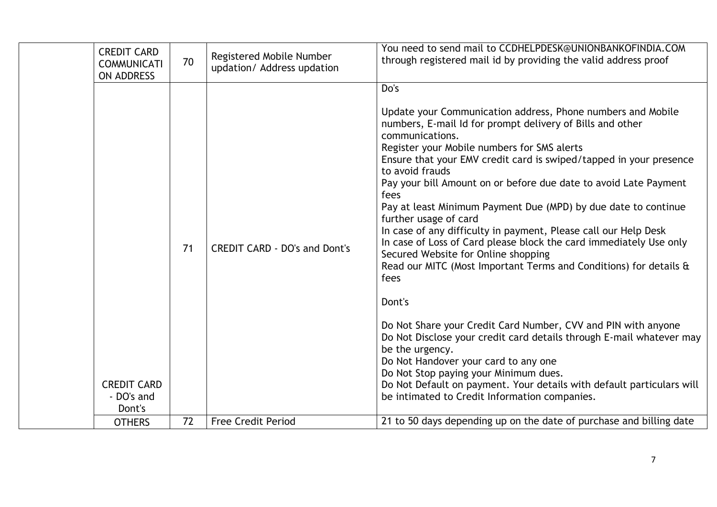| <b>CREDIT CARD</b><br><b>COMMUNICATI</b><br><b>ON ADDRESS</b> | 70       | Registered Mobile Number<br>updation/ Address updation            | You need to send mail to CCDHELPDESK@UNIONBANKOFINDIA.COM<br>through registered mail id by providing the valid address proof                                                                                                                                                                                                                                                                                                                                                                                                                                                                                                                                                                                                                                                                                                                                                                                                                                                                                                                                                                                                                                                            |
|---------------------------------------------------------------|----------|-------------------------------------------------------------------|-----------------------------------------------------------------------------------------------------------------------------------------------------------------------------------------------------------------------------------------------------------------------------------------------------------------------------------------------------------------------------------------------------------------------------------------------------------------------------------------------------------------------------------------------------------------------------------------------------------------------------------------------------------------------------------------------------------------------------------------------------------------------------------------------------------------------------------------------------------------------------------------------------------------------------------------------------------------------------------------------------------------------------------------------------------------------------------------------------------------------------------------------------------------------------------------|
| <b>CREDIT CARD</b><br>- DO's and<br>Dont's<br><b>OTHERS</b>   | 71<br>72 | <b>CREDIT CARD - DO's and Dont's</b><br><b>Free Credit Period</b> | Do's<br>Update your Communication address, Phone numbers and Mobile<br>numbers, E-mail Id for prompt delivery of Bills and other<br>communications.<br>Register your Mobile numbers for SMS alerts<br>Ensure that your EMV credit card is swiped/tapped in your presence<br>to avoid frauds<br>Pay your bill Amount on or before due date to avoid Late Payment<br>fees<br>Pay at least Minimum Payment Due (MPD) by due date to continue<br>further usage of card<br>In case of any difficulty in payment, Please call our Help Desk<br>In case of Loss of Card please block the card immediately Use only<br>Secured Website for Online shopping<br>Read our MITC (Most Important Terms and Conditions) for details &<br>fees<br>Dont's<br>Do Not Share your Credit Card Number, CVV and PIN with anyone<br>Do Not Disclose your credit card details through E-mail whatever may<br>be the urgency.<br>Do Not Handover your card to any one<br>Do Not Stop paying your Minimum dues.<br>Do Not Default on payment. Your details with default particulars will<br>be intimated to Credit Information companies.<br>21 to 50 days depending up on the date of purchase and billing date |
|                                                               |          |                                                                   |                                                                                                                                                                                                                                                                                                                                                                                                                                                                                                                                                                                                                                                                                                                                                                                                                                                                                                                                                                                                                                                                                                                                                                                         |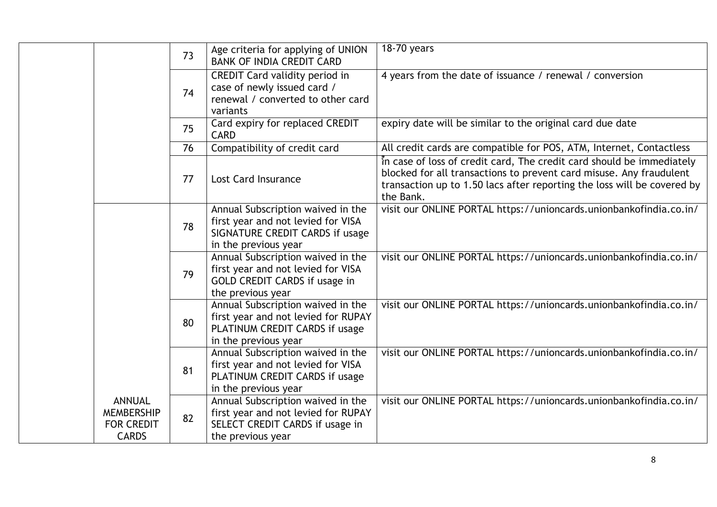|                                                                         | 73                                                                                                                                 | Age criteria for applying of UNION<br><b>BANK OF INDIA CREDIT CARD</b>                                                             | 18-70 years                                                                                                                                                                                                                          |
|-------------------------------------------------------------------------|------------------------------------------------------------------------------------------------------------------------------------|------------------------------------------------------------------------------------------------------------------------------------|--------------------------------------------------------------------------------------------------------------------------------------------------------------------------------------------------------------------------------------|
|                                                                         | 74                                                                                                                                 | CREDIT Card validity period in<br>case of newly issued card /<br>renewal / converted to other card<br>variants                     | 4 years from the date of issuance / renewal / conversion                                                                                                                                                                             |
|                                                                         | 75                                                                                                                                 | Card expiry for replaced CREDIT<br><b>CARD</b>                                                                                     | expiry date will be similar to the original card due date                                                                                                                                                                            |
|                                                                         | 76                                                                                                                                 | Compatibility of credit card                                                                                                       | All credit cards are compatible for POS, ATM, Internet, Contactless                                                                                                                                                                  |
|                                                                         | 77                                                                                                                                 | <b>Lost Card Insurance</b>                                                                                                         | In case of loss of credit card, The credit card should be immediately<br>blocked for all transactions to prevent card misuse. Any fraudulent<br>transaction up to 1.50 lacs after reporting the loss will be covered by<br>the Bank. |
|                                                                         | 78                                                                                                                                 | Annual Subscription waived in the<br>first year and not levied for VISA<br>SIGNATURE CREDIT CARDS if usage<br>in the previous year | visit our ONLINE PORTAL https://unioncards.unionbankofindia.co.in/                                                                                                                                                                   |
|                                                                         | 79                                                                                                                                 | Annual Subscription waived in the<br>first year and not levied for VISA<br>GOLD CREDIT CARDS if usage in<br>the previous year      | visit our ONLINE PORTAL https://unioncards.unionbankofindia.co.in/                                                                                                                                                                   |
| 80                                                                      | Annual Subscription waived in the<br>first year and not levied for RUPAY<br>PLATINUM CREDIT CARDS if usage<br>in the previous year | visit our ONLINE PORTAL https://unioncards.unionbankofindia.co.in/                                                                 |                                                                                                                                                                                                                                      |
|                                                                         | 81                                                                                                                                 | Annual Subscription waived in the<br>first year and not levied for VISA<br>PLATINUM CREDIT CARDS if usage<br>in the previous year  | visit our ONLINE PORTAL https://unioncards.unionbankofindia.co.in/                                                                                                                                                                   |
| <b>ANNUAL</b><br><b>MEMBERSHIP</b><br><b>FOR CREDIT</b><br><b>CARDS</b> | 82                                                                                                                                 | Annual Subscription waived in the<br>first year and not levied for RUPAY<br>SELECT CREDIT CARDS if usage in<br>the previous year   | visit our ONLINE PORTAL https://unioncards.unionbankofindia.co.in/                                                                                                                                                                   |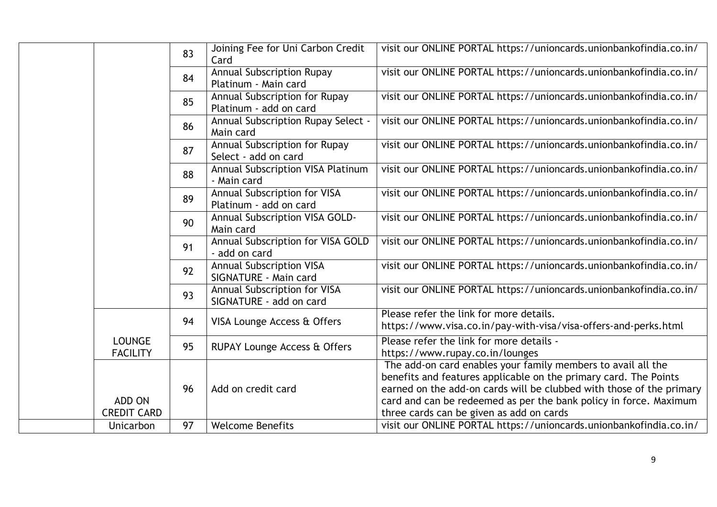|                                  | 83 | Joining Fee for Uni Carbon Credit<br>Card                | visit our ONLINE PORTAL https://unioncards.unionbankofindia.co.in/                                                                                                                                                                                                                                                        |
|----------------------------------|----|----------------------------------------------------------|---------------------------------------------------------------------------------------------------------------------------------------------------------------------------------------------------------------------------------------------------------------------------------------------------------------------------|
|                                  | 84 | <b>Annual Subscription Rupay</b><br>Platinum - Main card | visit our ONLINE PORTAL https://unioncards.unionbankofindia.co.in/                                                                                                                                                                                                                                                        |
|                                  | 85 | Annual Subscription for Rupay<br>Platinum - add on card  | visit our ONLINE PORTAL https://unioncards.unionbankofindia.co.in/                                                                                                                                                                                                                                                        |
|                                  | 86 | Annual Subscription Rupay Select -<br>Main card          | visit our ONLINE PORTAL https://unioncards.unionbankofindia.co.in/                                                                                                                                                                                                                                                        |
|                                  | 87 | Annual Subscription for Rupay<br>Select - add on card    | visit our ONLINE PORTAL https://unioncards.unionbankofindia.co.in/                                                                                                                                                                                                                                                        |
|                                  | 88 | Annual Subscription VISA Platinum<br>- Main card         | visit our ONLINE PORTAL https://unioncards.unionbankofindia.co.in/                                                                                                                                                                                                                                                        |
|                                  | 89 | Annual Subscription for VISA<br>Platinum - add on card   | visit our ONLINE PORTAL https://unioncards.unionbankofindia.co.in/                                                                                                                                                                                                                                                        |
|                                  | 90 | Annual Subscription VISA GOLD-<br>Main card              | visit our ONLINE PORTAL https://unioncards.unionbankofindia.co.in/                                                                                                                                                                                                                                                        |
|                                  | 91 | Annual Subscription for VISA GOLD<br>- add on card       | visit our ONLINE PORTAL https://unioncards.unionbankofindia.co.in/                                                                                                                                                                                                                                                        |
|                                  | 92 | <b>Annual Subscription VISA</b><br>SIGNATURE - Main card | visit our ONLINE PORTAL https://unioncards.unionbankofindia.co.in/                                                                                                                                                                                                                                                        |
|                                  | 93 | Annual Subscription for VISA<br>SIGNATURE - add on card  | visit our ONLINE PORTAL https://unioncards.unionbankofindia.co.in/                                                                                                                                                                                                                                                        |
|                                  | 94 | VISA Lounge Access & Offers                              | Please refer the link for more details.<br>https://www.visa.co.in/pay-with-visa/visa-offers-and-perks.html                                                                                                                                                                                                                |
| <b>LOUNGE</b><br><b>FACILITY</b> | 95 | RUPAY Lounge Access & Offers                             | Please refer the link for more details -<br>https://www.rupay.co.in/lounges                                                                                                                                                                                                                                               |
| ADD ON<br><b>CREDIT CARD</b>     | 96 | Add on credit card                                       | The add-on card enables your family members to avail all the<br>benefits and features applicable on the primary card. The Points<br>earned on the add-on cards will be clubbed with those of the primary<br>card and can be redeemed as per the bank policy in force. Maximum<br>three cards can be given as add on cards |
| Unicarbon                        | 97 | <b>Welcome Benefits</b>                                  | visit our ONLINE PORTAL https://unioncards.unionbankofindia.co.in/                                                                                                                                                                                                                                                        |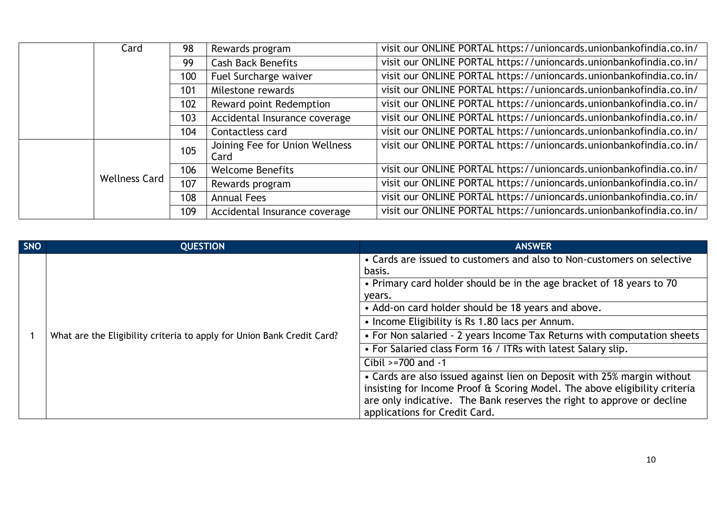|  | Card                 | 98  | Rewards program                        | visit our ONLINE PORTAL https://unioncards.unionbankofindia.co.in/ |
|--|----------------------|-----|----------------------------------------|--------------------------------------------------------------------|
|  |                      | 99  | <b>Cash Back Benefits</b>              | visit our ONLINE PORTAL https://unioncards.unionbankofindia.co.in/ |
|  |                      | 100 | Fuel Surcharge waiver                  | visit our ONLINE PORTAL https://unioncards.unionbankofindia.co.in/ |
|  |                      | 101 | Milestone rewards                      | visit our ONLINE PORTAL https://unioncards.unionbankofindia.co.in/ |
|  |                      | 102 | Reward point Redemption                | visit our ONLINE PORTAL https://unioncards.unionbankofindia.co.in/ |
|  |                      | 103 | Accidental Insurance coverage          | visit our ONLINE PORTAL https://unioncards.unionbankofindia.co.in/ |
|  |                      | 104 | Contactless card                       | visit our ONLINE PORTAL https://unioncards.unionbankofindia.co.in/ |
|  |                      | 105 | Joining Fee for Union Wellness<br>Card | visit our ONLINE PORTAL https://unioncards.unionbankofindia.co.in/ |
|  |                      | 106 | <b>Welcome Benefits</b>                | visit our ONLINE PORTAL https://unioncards.unionbankofindia.co.in/ |
|  | <b>Wellness Card</b> | 107 | Rewards program                        | visit our ONLINE PORTAL https://unioncards.unionbankofindia.co.in/ |
|  |                      | 108 | <b>Annual Fees</b>                     | visit our ONLINE PORTAL https://unioncards.unionbankofindia.co.in/ |
|  |                      | 109 | Accidental Insurance coverage          | visit our ONLINE PORTAL https://unioncards.unionbankofindia.co.in/ |

| SNO | <b>QUESTION</b>                                                        | <b>ANSWER</b>                                                                                                                                                                                                                                                    |
|-----|------------------------------------------------------------------------|------------------------------------------------------------------------------------------------------------------------------------------------------------------------------------------------------------------------------------------------------------------|
|     |                                                                        | • Cards are issued to customers and also to Non-customers on selective<br>basis.                                                                                                                                                                                 |
|     |                                                                        | • Primary card holder should be in the age bracket of 18 years to 70                                                                                                                                                                                             |
|     |                                                                        | years.                                                                                                                                                                                                                                                           |
|     |                                                                        | • Add-on card holder should be 18 years and above.                                                                                                                                                                                                               |
|     |                                                                        | • Income Eligibility is Rs 1.80 lacs per Annum.                                                                                                                                                                                                                  |
|     | What are the Eligibility criteria to apply for Union Bank Credit Card? | • For Non salaried - 2 years Income Tax Returns with computation sheets                                                                                                                                                                                          |
|     |                                                                        | • For Salaried class Form 16 / ITRs with latest Salary slip.                                                                                                                                                                                                     |
|     |                                                                        | Cibil $>=700$ and $-1$                                                                                                                                                                                                                                           |
|     |                                                                        | • Cards are also issued against lien on Deposit with 25% margin without<br>insisting for Income Proof & Scoring Model. The above eligibility criteria<br>are only indicative. The Bank reserves the right to approve or decline<br>applications for Credit Card. |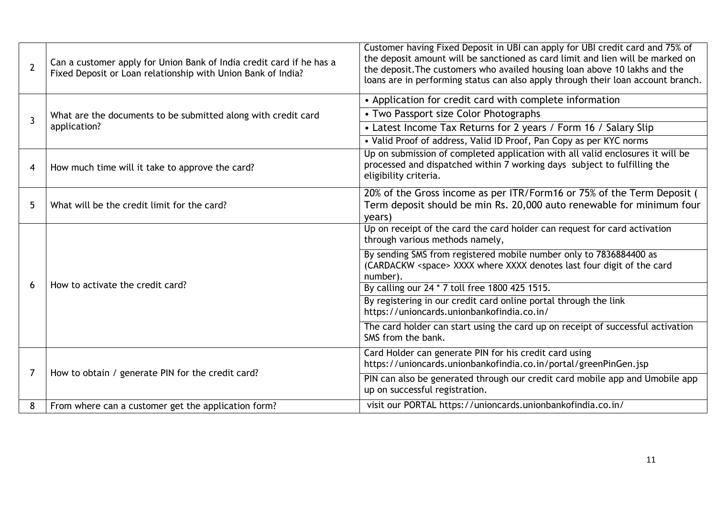| $\overline{2}$ | Can a customer apply for Union Bank of India credit card if he has a<br>Fixed Deposit or Loan relationship with Union Bank of India? | Customer having Fixed Deposit in UBI can apply for UBI credit card and 75% of<br>the deposit amount will be sanctioned as card limit and lien will be marked on<br>the deposit. The customers who availed housing loan above 10 lakhs and the<br>loans are in performing status can also apply through their loan account branch. |
|----------------|--------------------------------------------------------------------------------------------------------------------------------------|-----------------------------------------------------------------------------------------------------------------------------------------------------------------------------------------------------------------------------------------------------------------------------------------------------------------------------------|
|                |                                                                                                                                      | • Application for credit card with complete information                                                                                                                                                                                                                                                                           |
| $\overline{3}$ | What are the documents to be submitted along with credit card                                                                        | • Two Passport size Color Photographs                                                                                                                                                                                                                                                                                             |
|                | application?                                                                                                                         | • Latest Income Tax Returns for 2 years / Form 16 / Salary Slip                                                                                                                                                                                                                                                                   |
|                |                                                                                                                                      | • Valid Proof of address, Valid ID Proof, Pan Copy as per KYC norms                                                                                                                                                                                                                                                               |
| 4              | How much time will it take to approve the card?                                                                                      | Up on submission of completed application with all valid enclosures it will be<br>processed and dispatched within 7 working days subject to fulfilling the<br>eligibility criteria.                                                                                                                                               |
| 5              | What will be the credit limit for the card?                                                                                          | 20% of the Gross income as per ITR/Form16 or 75% of the Term Deposit (<br>Term deposit should be min Rs. 20,000 auto renewable for minimum four<br>years)                                                                                                                                                                         |
|                |                                                                                                                                      | Up on receipt of the card the card holder can request for card activation<br>through various methods namely,                                                                                                                                                                                                                      |
|                |                                                                                                                                      | By sending SMS from registered mobile number only to 7836884400 as<br>(CARDACKW <space> XXXX where XXXX denotes last four digit of the card<br/>number).</space>                                                                                                                                                                  |
| 6              | How to activate the credit card?                                                                                                     | By calling our 24 * 7 toll free 1800 425 1515.                                                                                                                                                                                                                                                                                    |
|                |                                                                                                                                      | By registering in our credit card online portal through the link<br>https://unioncards.unionbankofindia.co.in/                                                                                                                                                                                                                    |
|                |                                                                                                                                      | The card holder can start using the card up on receipt of successful activation<br>SMS from the bank.                                                                                                                                                                                                                             |
|                |                                                                                                                                      | Card Holder can generate PIN for his credit card using<br>https://unioncards.unionbankofindia.co.in/portal/greenPinGen.jsp                                                                                                                                                                                                        |
| 7              | How to obtain / generate PIN for the credit card?                                                                                    | PIN can also be generated through our credit card mobile app and Umobile app<br>up on successful registration.                                                                                                                                                                                                                    |
| 8              | From where can a customer get the application form?                                                                                  | visit our PORTAL https://unioncards.unionbankofindia.co.in/                                                                                                                                                                                                                                                                       |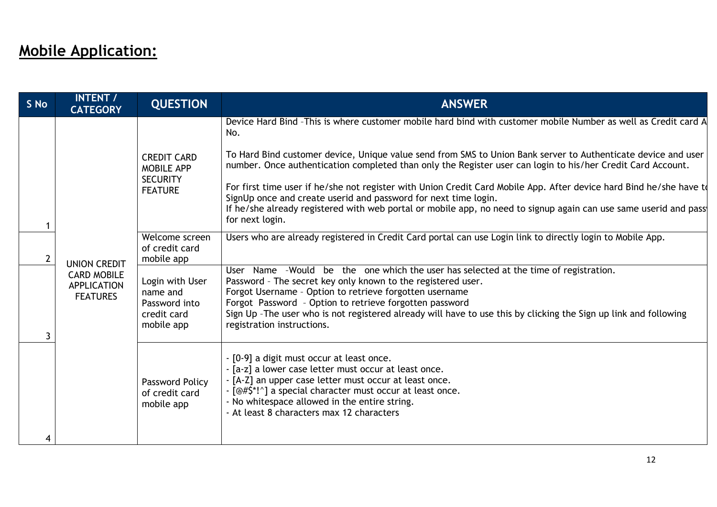## **Mobile Application:**

| S No           | <b>INTENT /</b><br><b>CATEGORY</b>                                                                                                        | <b>QUESTION</b>                                     | <b>ANSWER</b>                                                                                                                                                                                                                                                                                                                                                                                                                 |
|----------------|-------------------------------------------------------------------------------------------------------------------------------------------|-----------------------------------------------------|-------------------------------------------------------------------------------------------------------------------------------------------------------------------------------------------------------------------------------------------------------------------------------------------------------------------------------------------------------------------------------------------------------------------------------|
|                |                                                                                                                                           |                                                     | Device Hard Bind -This is where customer mobile hard bind with customer mobile Number as well as Credit card A<br>No.                                                                                                                                                                                                                                                                                                         |
|                |                                                                                                                                           | <b>CREDIT CARD</b><br>MOBILE APP<br><b>SECURITY</b> | To Hard Bind customer device, Unique value send from SMS to Union Bank server to Authenticate device and user<br>number. Once authentication completed than only the Register user can login to his/her Credit Card Account.                                                                                                                                                                                                  |
|                |                                                                                                                                           | <b>FEATURE</b>                                      | For first time user if he/she not register with Union Credit Card Mobile App. After device hard Bind he/she have to<br>SignUp once and create userid and password for next time login.<br>If he/she already registered with web portal or mobile app, no need to signup again can use same userid and pass                                                                                                                    |
|                |                                                                                                                                           |                                                     | for next login.                                                                                                                                                                                                                                                                                                                                                                                                               |
| $\overline{2}$ | mobile app<br><b>UNION CREDIT</b><br><b>CARD MOBILE</b><br><b>APPLICATION</b><br>name and<br><b>FEATURES</b><br>credit card<br>mobile app | Welcome screen<br>of credit card                    | Users who are already registered in Credit Card portal can use Login link to directly login to Mobile App.                                                                                                                                                                                                                                                                                                                    |
|                |                                                                                                                                           | Login with User<br>Password into                    | User Name -Would be the one which the user has selected at the time of registration.<br>Password - The secret key only known to the registered user.<br>Forgot Username - Option to retrieve forgotten username<br>Forgot Password - Option to retrieve forgotten password<br>Sign Up - The user who is not registered already will have to use this by clicking the Sign up link and following<br>registration instructions. |
|                |                                                                                                                                           | Password Policy<br>of credit card<br>mobile app     | - [0-9] a digit must occur at least once.<br>- [a-z] a lower case letter must occur at least once.<br>- [A-Z] an upper case letter must occur at least once.<br>- [@#\$*!^] a special character must occur at least once.<br>- No whitespace allowed in the entire string.<br>- At least 8 characters max 12 characters                                                                                                       |
| 4              |                                                                                                                                           |                                                     |                                                                                                                                                                                                                                                                                                                                                                                                                               |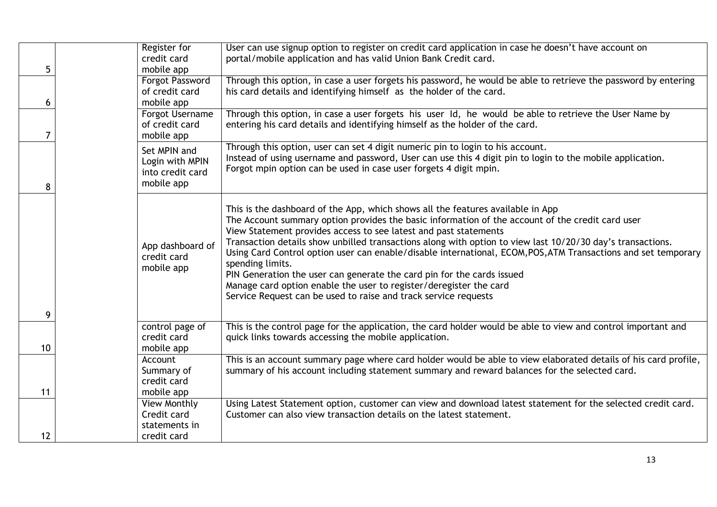| 5  | Register for<br>credit card<br>mobile app                         | User can use signup option to register on credit card application in case he doesn't have account on<br>portal/mobile application and has valid Union Bank Credit card.                                                                                                                                                                                                                                                                                                                                                                                                                                                                                                                                                        |
|----|-------------------------------------------------------------------|--------------------------------------------------------------------------------------------------------------------------------------------------------------------------------------------------------------------------------------------------------------------------------------------------------------------------------------------------------------------------------------------------------------------------------------------------------------------------------------------------------------------------------------------------------------------------------------------------------------------------------------------------------------------------------------------------------------------------------|
| 6  | <b>Forgot Password</b><br>of credit card<br>mobile app            | Through this option, in case a user forgets his password, he would be able to retrieve the password by entering<br>his card details and identifying himself as the holder of the card.                                                                                                                                                                                                                                                                                                                                                                                                                                                                                                                                         |
| 7  | Forgot Username<br>of credit card<br>mobile app                   | Through this option, in case a user forgets his user Id, he would be able to retrieve the User Name by<br>entering his card details and identifying himself as the holder of the card.                                                                                                                                                                                                                                                                                                                                                                                                                                                                                                                                         |
| 8  | Set MPIN and<br>Login with MPIN<br>into credit card<br>mobile app | Through this option, user can set 4 digit numeric pin to login to his account.<br>Instead of using username and password, User can use this 4 digit pin to login to the mobile application.<br>Forgot mpin option can be used in case user forgets 4 digit mpin.                                                                                                                                                                                                                                                                                                                                                                                                                                                               |
| 9  | App dashboard of<br>credit card<br>mobile app                     | This is the dashboard of the App, which shows all the features available in App<br>The Account summary option provides the basic information of the account of the credit card user<br>View Statement provides access to see latest and past statements<br>Transaction details show unbilled transactions along with option to view last 10/20/30 day's transactions.<br>Using Card Control option user can enable/disable international, ECOM, POS, ATM Transactions and set temporary<br>spending limits.<br>PIN Generation the user can generate the card pin for the cards issued<br>Manage card option enable the user to register/deregister the card<br>Service Request can be used to raise and track service requests |
| 10 | control page of<br>credit card<br>mobile app                      | This is the control page for the application, the card holder would be able to view and control important and<br>quick links towards accessing the mobile application.                                                                                                                                                                                                                                                                                                                                                                                                                                                                                                                                                         |
| 11 | Account<br>Summary of<br>credit card<br>mobile app                | This is an account summary page where card holder would be able to view elaborated details of his card profile,<br>summary of his account including statement summary and reward balances for the selected card.                                                                                                                                                                                                                                                                                                                                                                                                                                                                                                               |
| 12 | View Monthly<br>Credit card<br>statements in<br>credit card       | Using Latest Statement option, customer can view and download latest statement for the selected credit card.<br>Customer can also view transaction details on the latest statement.                                                                                                                                                                                                                                                                                                                                                                                                                                                                                                                                            |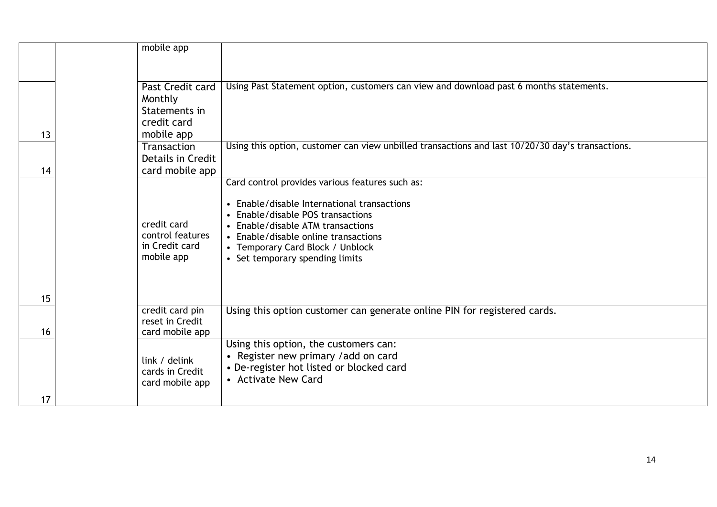|    | mobile app                                                      |                                                                                                                                                                                                                                                                                         |
|----|-----------------------------------------------------------------|-----------------------------------------------------------------------------------------------------------------------------------------------------------------------------------------------------------------------------------------------------------------------------------------|
|    | Past Credit card<br>Monthly<br>Statements in                    | Using Past Statement option, customers can view and download past 6 months statements.                                                                                                                                                                                                  |
| 13 | credit card<br>mobile app                                       |                                                                                                                                                                                                                                                                                         |
| 14 | Transaction<br>Details in Credit<br>card mobile app             | Using this option, customer can view unbilled transactions and last 10/20/30 day's transactions.                                                                                                                                                                                        |
|    | credit card<br>control features<br>in Credit card<br>mobile app | Card control provides various features such as:<br>• Enable/disable International transactions<br>• Enable/disable POS transactions<br>• Enable/disable ATM transactions<br>• Enable/disable online transactions<br>• Temporary Card Block / Unblock<br>• Set temporary spending limits |
| 15 | credit card pin                                                 | Using this option customer can generate online PIN for registered cards.                                                                                                                                                                                                                |
| 16 | reset in Credit<br>card mobile app                              |                                                                                                                                                                                                                                                                                         |
| 17 | link / delink<br>cards in Credit<br>card mobile app             | Using this option, the customers can:<br>• Register new primary / add on card<br>• De-register hot listed or blocked card<br>• Activate New Card                                                                                                                                        |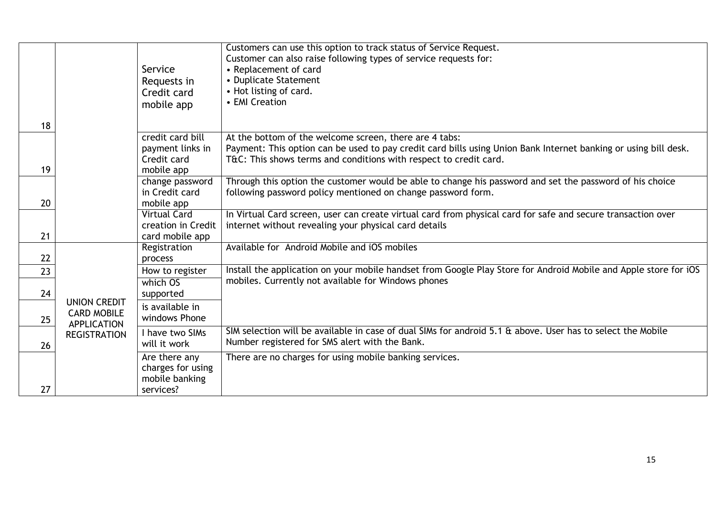|    |                                                                                        | Service<br>Requests in<br>Credit card<br>mobile app               | Customers can use this option to track status of Service Request.<br>Customer can also raise following types of service requests for:<br>• Replacement of card<br>• Duplicate Statement<br>• Hot listing of card.<br>• EMI Creation            |
|----|----------------------------------------------------------------------------------------|-------------------------------------------------------------------|------------------------------------------------------------------------------------------------------------------------------------------------------------------------------------------------------------------------------------------------|
| 18 |                                                                                        |                                                                   |                                                                                                                                                                                                                                                |
| 19 |                                                                                        | credit card bill<br>payment links in<br>Credit card<br>mobile app | At the bottom of the welcome screen, there are 4 tabs:<br>Payment: This option can be used to pay credit card bills using Union Bank Internet banking or using bill desk.<br>T&C: This shows terms and conditions with respect to credit card. |
| 20 |                                                                                        | change password<br>in Credit card<br>mobile app                   | Through this option the customer would be able to change his password and set the password of his choice<br>following password policy mentioned on change password form.                                                                       |
| 21 |                                                                                        | <b>Virtual Card</b><br>creation in Credit<br>card mobile app      | In Virtual Card screen, user can create virtual card from physical card for safe and secure transaction over<br>internet without revealing your physical card details                                                                          |
| 22 |                                                                                        | Registration<br>process                                           | Available for Android Mobile and iOS mobiles                                                                                                                                                                                                   |
| 23 |                                                                                        | How to register                                                   | Install the application on your mobile handset from Google Play Store for Android Mobile and Apple store for iOS                                                                                                                               |
| 24 | <b>UNION CREDIT</b><br><b>CARD MOBILE</b><br><b>APPLICATION</b><br><b>REGISTRATION</b> | which OS<br>supported                                             | mobiles. Currently not available for Windows phones                                                                                                                                                                                            |
| 25 |                                                                                        | is available in<br>windows Phone                                  |                                                                                                                                                                                                                                                |
| 26 |                                                                                        | I have two SIMs<br>will it work                                   | SIM selection will be available in case of dual SIMs for android 5.1 & above. User has to select the Mobile<br>Number registered for SMS alert with the Bank.                                                                                  |
| 27 |                                                                                        | Are there any<br>charges for using<br>mobile banking<br>services? | There are no charges for using mobile banking services.                                                                                                                                                                                        |